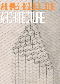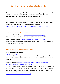# **Archive Sources for Architecture**

**There are a number of ways to look for archives relating to your topic of research. A good starting point is to think about the people, organisations or places you are interested in and then start to look for archives related to them.**

To find out about our holdings related to architecture, use the "Architecture" subject index term on GSA's Archives and Collections online catalogue: http://www.gsaarchives.net/archon/index.php?p=core/search&subjectid=4

#### **Search for archives relating to people or organisations:**

**Dictionary of Scottish Architects** http://www.scottisharchitects.org.uk/ Useful for looking up architects, companies and buildings based in Scotland.

**National Register of Archives** http://www.nationalarchives.gov.uk/nra/ Information on archives held by public archive offices in the UK – you can search for a particular organisation or person.

#### **Search for archives relating to a particular place:**

#### **Historic Environment Scotland**

#### https://canmore.org.uk/

A range of archives, photographs and survey documentation relating to the built environment in Scotland. Original documents can be viewed at their reading room in Edinburgh.

## **Glasgow City Archives** http://www.glasgowlife.org.uk/libraries/the‐mitchell‐ library/archives/collections/Pages/default.aspx

Material relating to Glasgow, such as newspaper articles, photographs and architectural drawings (from 1870 onwards which were submitted to the council as part of building control regulations). Most areas in the UK will have a local record office that holds this sort of material. A list of archives in the UK can be found at:

http://www.nationalarchives.gov.uk/archon/